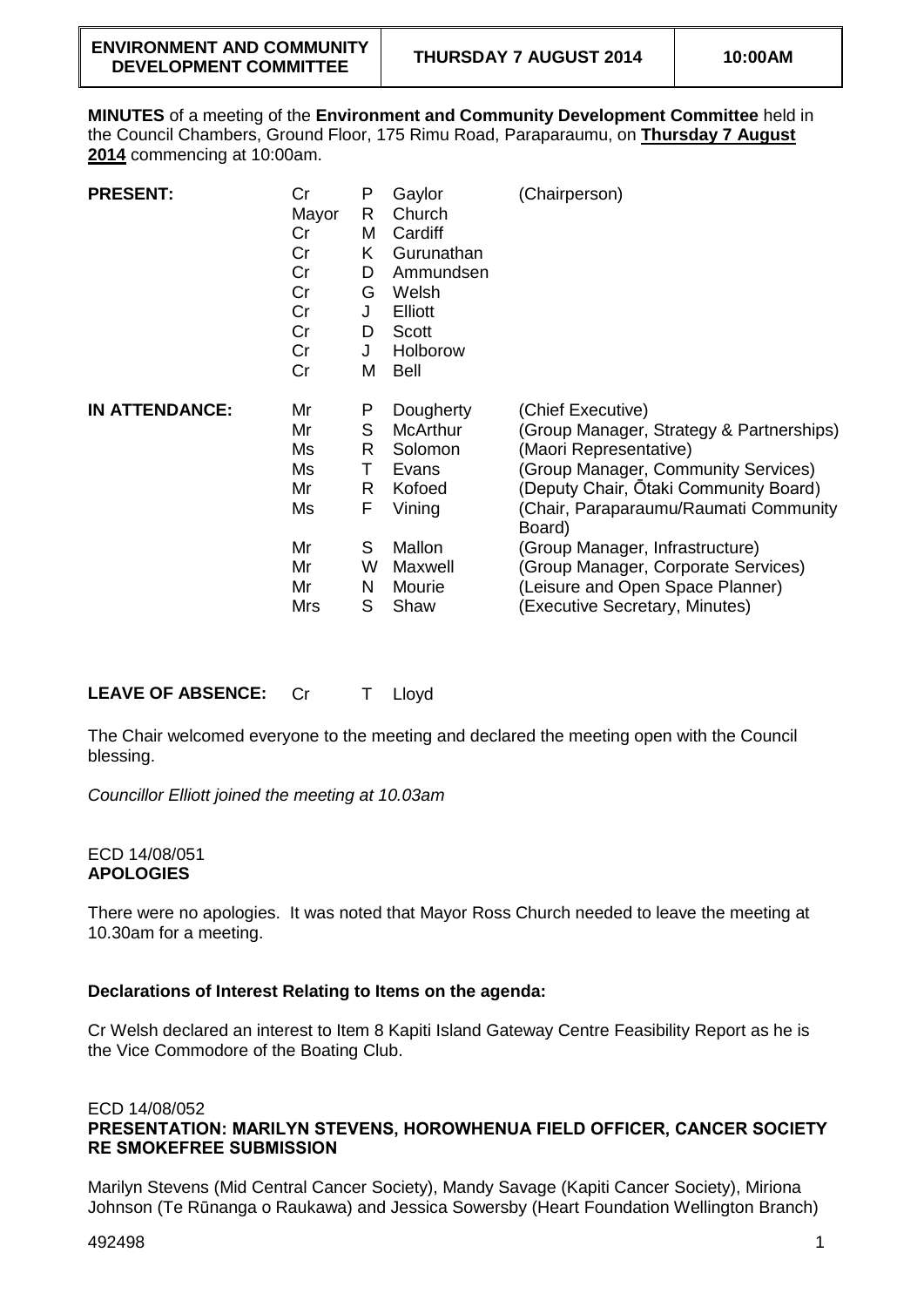**MINUTES** of a meeting of the **Environment and Community Development Committee** held in the Council Chambers, Ground Floor, 175 Rimu Road, Paraparaumu, on **Thursday 7 August 2014** commencing at 10:00am.

| <b>PRESENT:</b>       | Cr<br>Mayor<br>Cr<br>Cr<br>Cr<br>Cr<br>Cr<br>Cr<br>Cr<br>Cr | P<br>R<br>M<br>K<br>D<br>G<br>J<br>D<br>J<br>M | Gaylor<br>Church<br>Cardiff<br>Gurunathan<br>Ammundsen<br>Welsh<br>Elliott<br>Scott<br>Holborow<br><b>Bell</b> | (Chairperson)                                                                                                                                                                                                                                                                                                                                                              |
|-----------------------|-------------------------------------------------------------|------------------------------------------------|----------------------------------------------------------------------------------------------------------------|----------------------------------------------------------------------------------------------------------------------------------------------------------------------------------------------------------------------------------------------------------------------------------------------------------------------------------------------------------------------------|
| <b>IN ATTENDANCE:</b> | Mr<br>Mr<br>Ms<br>Ms<br>Mr<br>Ms<br>Mr<br>Mr<br>Mr<br>Mrs   | P<br>S<br>R<br>т<br>R<br>F<br>S<br>W<br>N<br>S | Dougherty<br><b>McArthur</b><br>Solomon<br>Evans<br>Kofoed<br>Vining<br>Mallon<br>Maxwell<br>Mourie<br>Shaw    | (Chief Executive)<br>(Group Manager, Strategy & Partnerships)<br>(Maori Representative)<br>(Group Manager, Community Services)<br>(Deputy Chair, Ōtaki Community Board)<br>(Chair, Paraparaumu/Raumati Community<br>Board)<br>(Group Manager, Infrastructure)<br>(Group Manager, Corporate Services)<br>(Leisure and Open Space Planner)<br>(Executive Secretary, Minutes) |

**LEAVE OF ABSENCE:** Cr T Lloyd

The Chair welcomed everyone to the meeting and declared the meeting open with the Council blessing.

*Councillor Elliott joined the meeting at 10.03am*

### ECD 14/08/051 **APOLOGIES**

There were no apologies. It was noted that Mayor Ross Church needed to leave the meeting at 10.30am for a meeting.

# **Declarations of Interest Relating to Items on the agenda:**

Cr Welsh declared an interest to Item 8 Kapiti Island Gateway Centre Feasibility Report as he is the Vice Commodore of the Boating Club.

#### ECD 14/08/052 **PRESENTATION: MARILYN STEVENS, HOROWHENUA FIELD OFFICER, CANCER SOCIETY RE SMOKEFREE SUBMISSION**

Marilyn Stevens (Mid Central Cancer Society), Mandy Savage (Kapiti Cancer Society), Miriona Johnson (Te Rūnanga o Raukawa) and Jessica Sowersby (Heart Foundation Wellington Branch)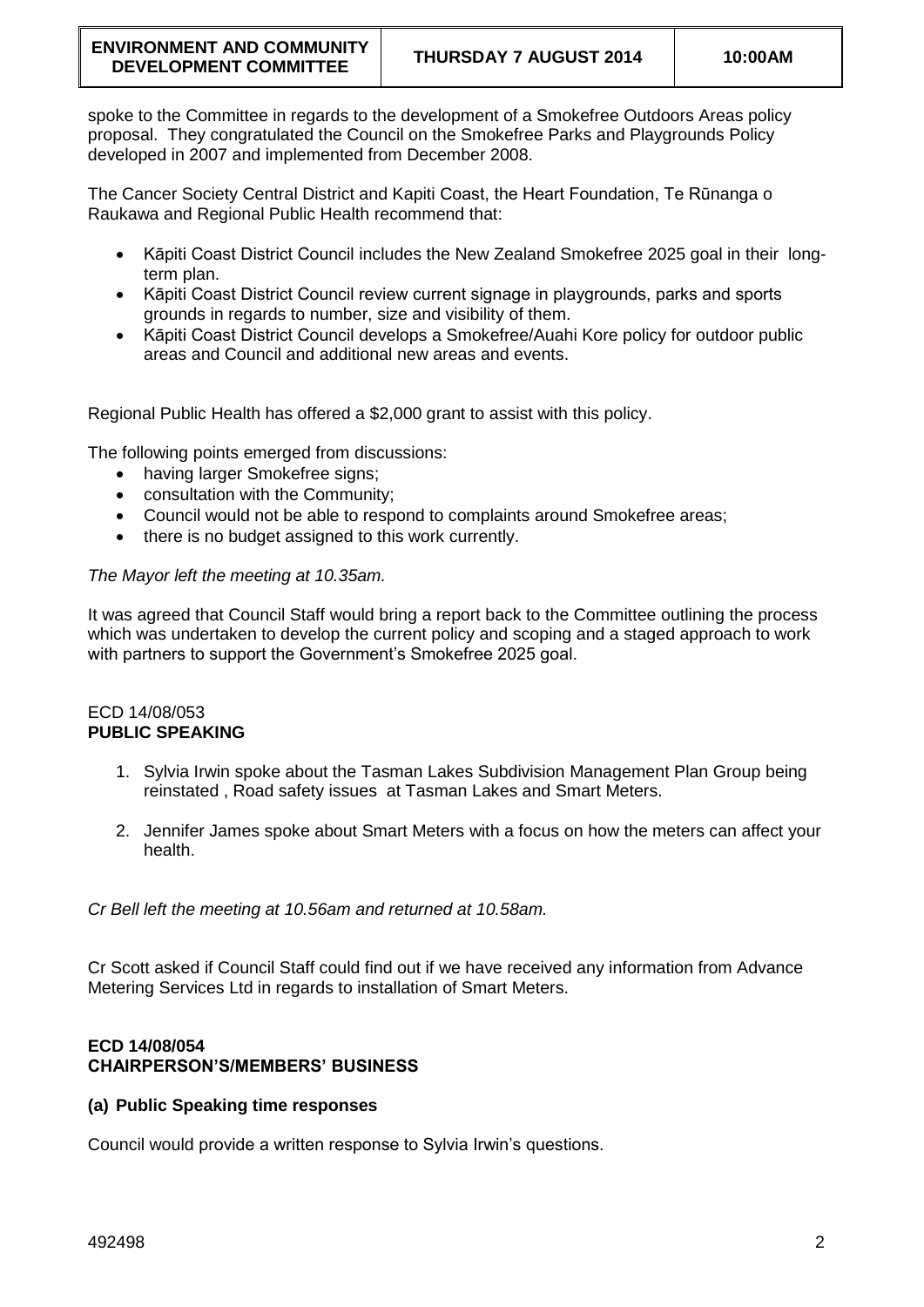spoke to the Committee in regards to the development of a Smokefree Outdoors Areas policy proposal. They congratulated the Council on the Smokefree Parks and Playgrounds Policy developed in 2007 and implemented from December 2008.

The Cancer Society Central District and Kapiti Coast, the Heart Foundation, Te Rūnanga o Raukawa and Regional Public Health recommend that:

- Kāpiti Coast District Council includes the New Zealand Smokefree 2025 goal in their longterm plan.
- Kāpiti Coast District Council review current signage in playgrounds, parks and sports grounds in regards to number, size and visibility of them.
- Kāpiti Coast District Council develops a Smokefree/Auahi Kore policy for outdoor public areas and Council and additional new areas and events.

Regional Public Health has offered a \$2,000 grant to assist with this policy.

The following points emerged from discussions:

- having larger Smokefree signs;
- consultation with the Community;
- Council would not be able to respond to complaints around Smokefree areas;
- there is no budget assigned to this work currently.

### *The Mayor left the meeting at 10.35am.*

It was agreed that Council Staff would bring a report back to the Committee outlining the process which was undertaken to develop the current policy and scoping and a staged approach to work with partners to support the Government's Smokefree 2025 goal.

#### ECD 14/08/053 **PUBLIC SPEAKING**

- 1. Sylvia Irwin spoke about the Tasman Lakes Subdivision Management Plan Group being reinstated , Road safety issues at Tasman Lakes and Smart Meters.
- 2. Jennifer James spoke about Smart Meters with a focus on how the meters can affect your health.

*Cr Bell left the meeting at 10.56am and returned at 10.58am.*

Cr Scott asked if Council Staff could find out if we have received any information from Advance Metering Services Ltd in regards to installation of Smart Meters.

# **ECD 14/08/054 CHAIRPERSON'S/MEMBERS' BUSINESS**

#### **(a) Public Speaking time responses**

Council would provide a written response to Sylvia Irwin's questions.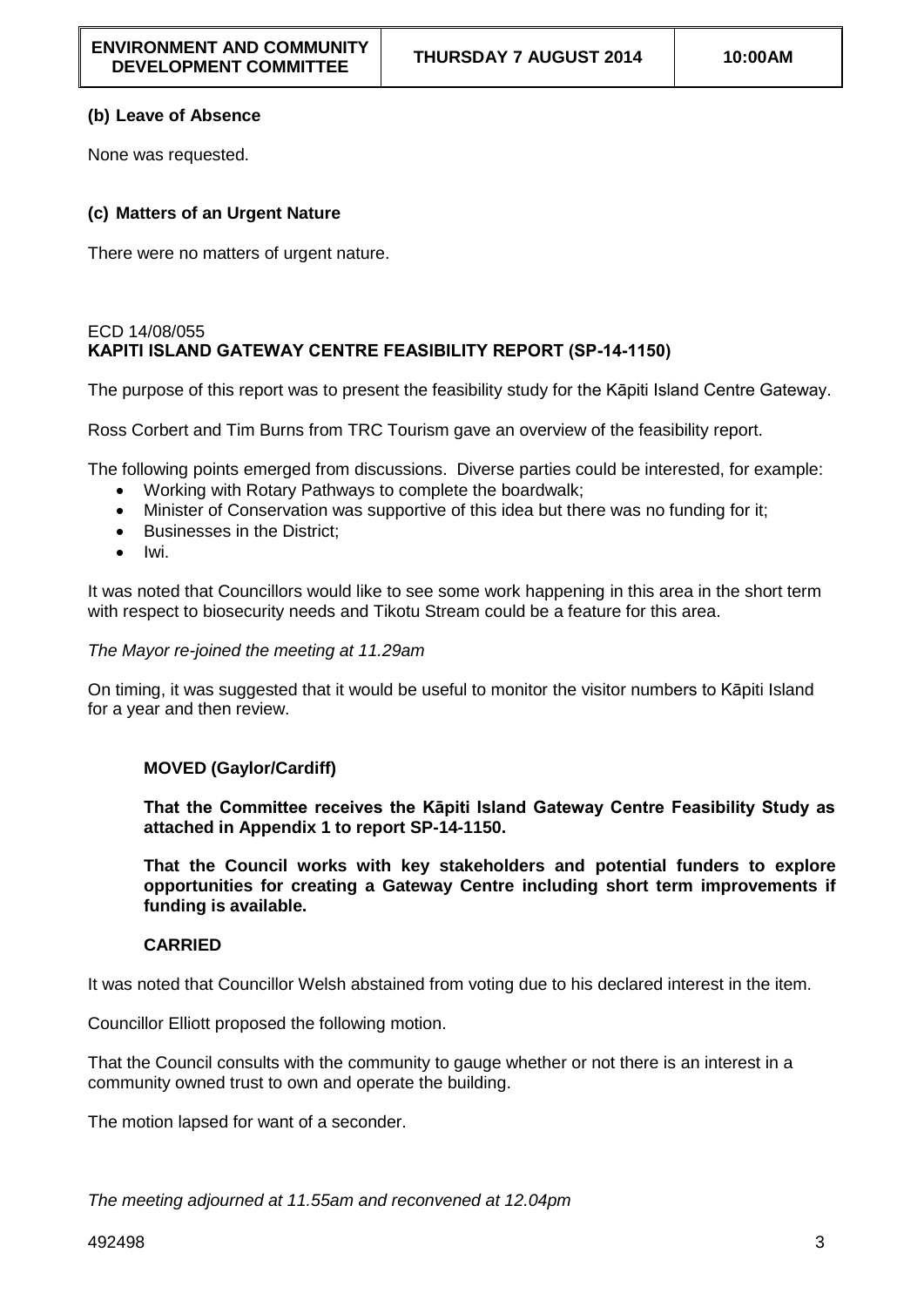# **(b) Leave of Absence**

None was requested.

# **(c) Matters of an Urgent Nature**

There were no matters of urgent nature.

### ECD 14/08/055 **KAPITI ISLAND GATEWAY CENTRE FEASIBILITY REPORT (SP-14-1150)**

The purpose of this report was to present the feasibility study for the Kāpiti Island Centre Gateway.

Ross Corbert and Tim Burns from TRC Tourism gave an overview of the feasibility report.

The following points emerged from discussions. Diverse parties could be interested, for example:

- Working with Rotary Pathways to complete the boardwalk;
- Minister of Conservation was supportive of this idea but there was no funding for it;
- Businesses in the District:
- Iwi.

It was noted that Councillors would like to see some work happening in this area in the short term with respect to biosecurity needs and Tikotu Stream could be a feature for this area.

#### *The Mayor re-joined the meeting at 11.29am*

On timing, it was suggested that it would be useful to monitor the visitor numbers to Kāpiti Island for a year and then review.

# **MOVED (Gaylor/Cardiff)**

**That the Committee receives the Kāpiti Island Gateway Centre Feasibility Study as attached in Appendix 1 to report SP-14-1150.** 

**That the Council works with key stakeholders and potential funders to explore opportunities for creating a Gateway Centre including short term improvements if funding is available.**

# **CARRIED**

It was noted that Councillor Welsh abstained from voting due to his declared interest in the item.

Councillor Elliott proposed the following motion.

That the Council consults with the community to gauge whether or not there is an interest in a community owned trust to own and operate the building.

The motion lapsed for want of a seconder.

*The meeting adjourned at 11.55am and reconvened at 12.04pm*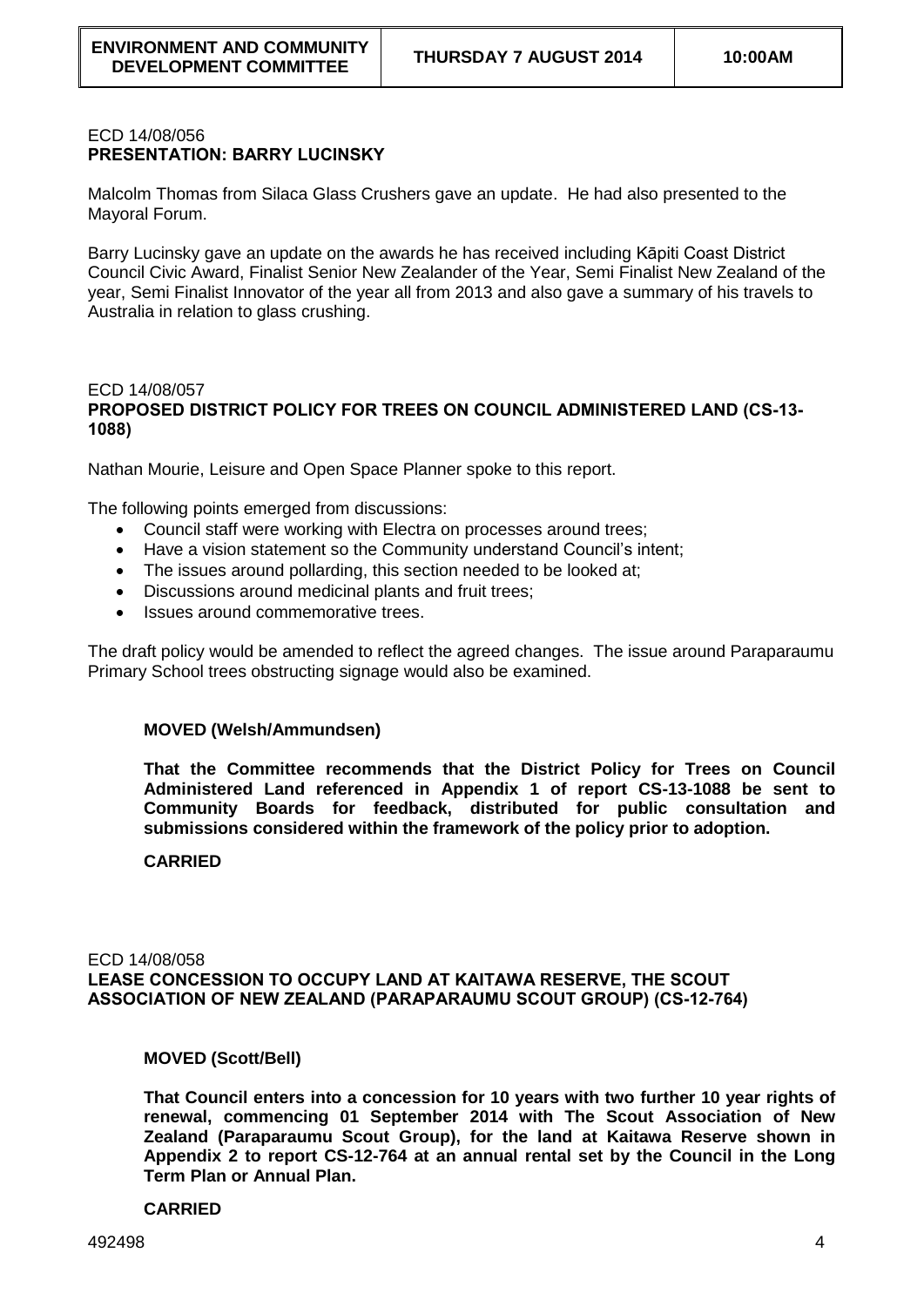### ECD 14/08/056 **PRESENTATION: BARRY LUCINSKY**

Malcolm Thomas from Silaca Glass Crushers gave an update. He had also presented to the Mayoral Forum.

Barry Lucinsky gave an update on the awards he has received including Kāpiti Coast District Council Civic Award, Finalist Senior New Zealander of the Year, Semi Finalist New Zealand of the year, Semi Finalist Innovator of the year all from 2013 and also gave a summary of his travels to Australia in relation to glass crushing.

### ECD 14/08/057 **PROPOSED DISTRICT POLICY FOR TREES ON COUNCIL ADMINISTERED LAND (CS-13- 1088)**

Nathan Mourie, Leisure and Open Space Planner spoke to this report.

The following points emerged from discussions:

- Council staff were working with Electra on processes around trees;
- Have a vision statement so the Community understand Council's intent;
- The issues around pollarding, this section needed to be looked at:
- Discussions around medicinal plants and fruit trees;
- Issues around commemorative trees.

The draft policy would be amended to reflect the agreed changes. The issue around Paraparaumu Primary School trees obstructing signage would also be examined.

#### **MOVED (Welsh/Ammundsen)**

**That the Committee recommends that the District Policy for Trees on Council Administered Land referenced in Appendix 1 of report CS-13-1088 be sent to Community Boards for feedback, distributed for public consultation and submissions considered within the framework of the policy prior to adoption.**

#### **CARRIED**

ECD 14/08/058 **LEASE CONCESSION TO OCCUPY LAND AT KAITAWA RESERVE, THE SCOUT ASSOCIATION OF NEW ZEALAND (PARAPARAUMU SCOUT GROUP) (CS-12-764)**

**MOVED (Scott/Bell)**

**That Council enters into a concession for 10 years with two further 10 year rights of renewal, commencing 01 September 2014 with The Scout Association of New Zealand (Paraparaumu Scout Group), for the land at Kaitawa Reserve shown in Appendix 2 to report CS-12-764 at an annual rental set by the Council in the Long Term Plan or Annual Plan.**

#### **CARRIED**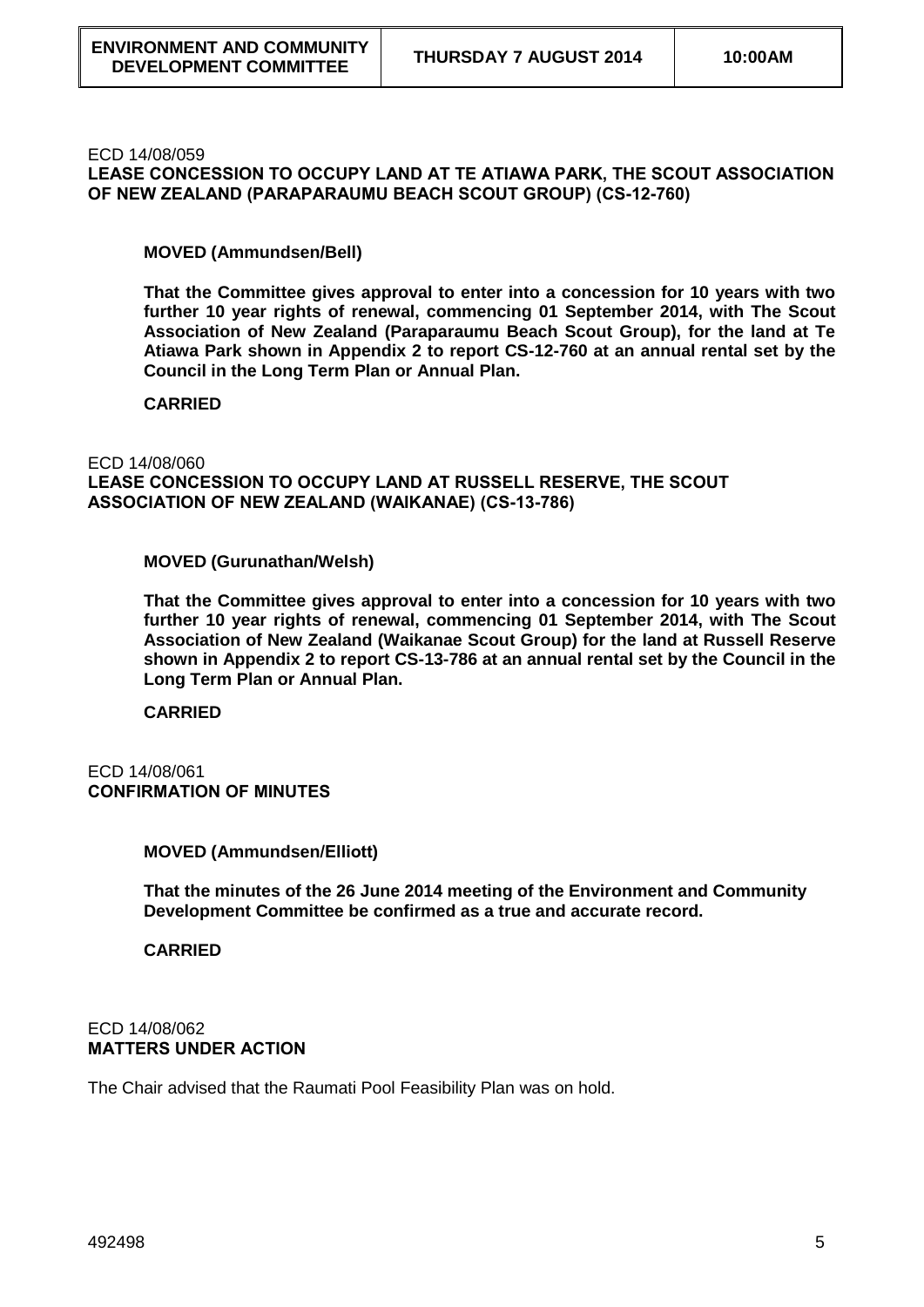ECD 14/08/059

**LEASE CONCESSION TO OCCUPY LAND AT TE ATIAWA PARK, THE SCOUT ASSOCIATION OF NEW ZEALAND (PARAPARAUMU BEACH SCOUT GROUP) (CS-12-760)**

**MOVED (Ammundsen/Bell)**

**That the Committee gives approval to enter into a concession for 10 years with two further 10 year rights of renewal, commencing 01 September 2014, with The Scout Association of New Zealand (Paraparaumu Beach Scout Group), for the land at Te Atiawa Park shown in Appendix 2 to report CS-12-760 at an annual rental set by the Council in the Long Term Plan or Annual Plan.**

**CARRIED**

ECD 14/08/060

**LEASE CONCESSION TO OCCUPY LAND AT RUSSELL RESERVE, THE SCOUT ASSOCIATION OF NEW ZEALAND (WAIKANAE) (CS-13-786)**

**MOVED (Gurunathan/Welsh)**

**That the Committee gives approval to enter into a concession for 10 years with two further 10 year rights of renewal, commencing 01 September 2014, with The Scout Association of New Zealand (Waikanae Scout Group) for the land at Russell Reserve shown in Appendix 2 to report CS-13-786 at an annual rental set by the Council in the Long Term Plan or Annual Plan.**

**CARRIED**

### ECD 14/08/061 **CONFIRMATION OF MINUTES**

**MOVED (Ammundsen/Elliott)**

**That the minutes of the 26 June 2014 meeting of the Environment and Community Development Committee be confirmed as a true and accurate record.** 

**CARRIED**

#### ECD 14/08/062 **MATTERS UNDER ACTION**

The Chair advised that the Raumati Pool Feasibility Plan was on hold.